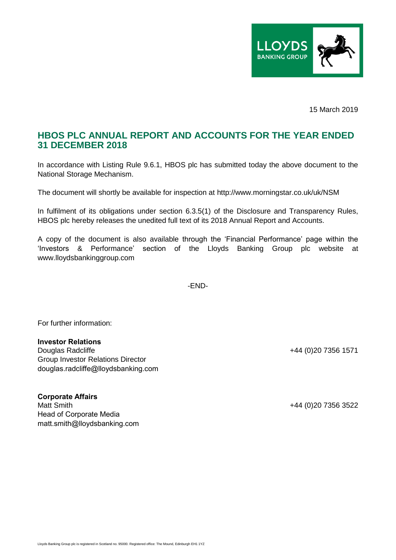

15 March 2019

## **HBOS PLC ANNUAL REPORT AND ACCOUNTS FOR THE YEAR ENDED 31 DECEMBER 2018**

In accordance with Listing Rule 9.6.1, HBOS plc has submitted today the above document to the National Storage Mechanism.

The document will shortly be available for inspection at http://www.morningstar.co.uk/uk/NSM

In fulfilment of its obligations under section 6.3.5(1) of the Disclosure and Transparency Rules, HBOS plc hereby releases the unedited full text of its 2018 Annual Report and Accounts.

A copy of the document is also available through the 'Financial Performance' page within the 'Investors & Performance' section of the Lloyds Banking Group plc website at www.lloydsbankinggroup.com

-END-

For further information:

## **Investor Relations**

Douglas Radcliffe +44 (0)20 7356 1571 Group Investor Relations Director douglas.radcliffe@lloydsbanking.com

**Corporate Affairs** Matt Smith +44 (0)20 7356 3522 Head of Corporate Media matt.smith@lloydsbanking.com